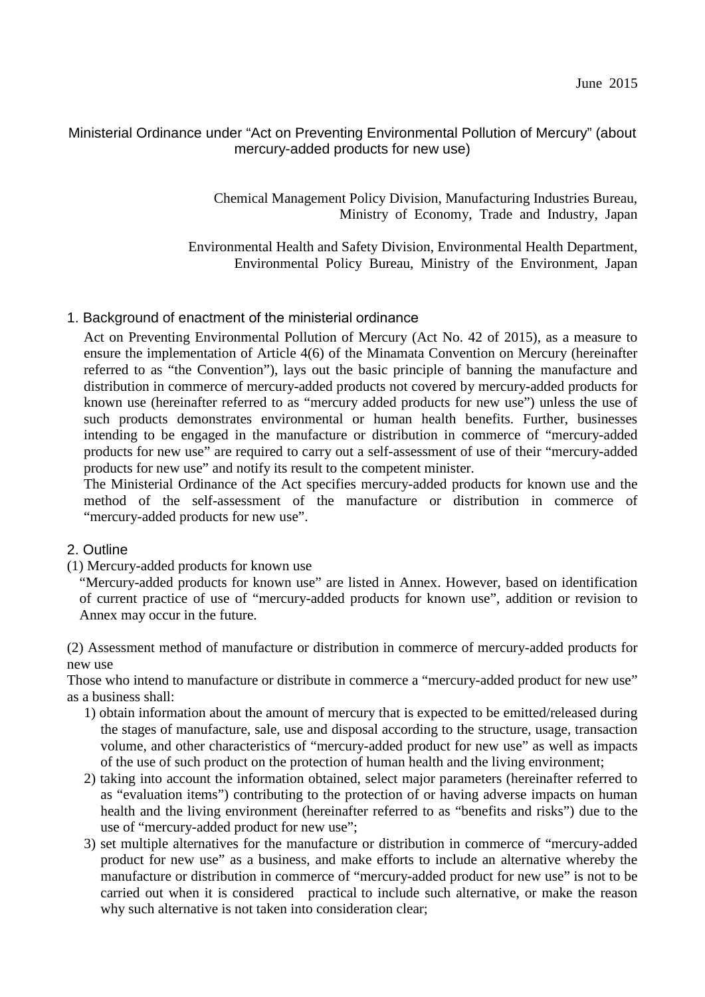# Ministerial Ordinance under "Act on Preventing Environmental Pollution of Mercury" (about mercury-added products for new use)

Chemical Management Policy Division, Manufacturing Industries Bureau, Ministry of Economy, Trade and Industry, Japan

Environmental Health and Safety Division, Environmental Health Department, Environmental Policy Bureau, Ministry of the Environment, Japan

## 1. Background of enactment of the ministerial ordinance

Act on Preventing Environmental Pollution of Mercury (Act No. 42 of 2015), as a measure to ensure the implementation of Article 4(6) of the Minamata Convention on Mercury (hereinafter referred to as "the Convention"), lays out the basic principle of banning the manufacture and distribution in commerce of mercury-added products not covered by mercury-added products for known use (hereinafter referred to as "mercury added products for new use") unless the use of such products demonstrates environmental or human health benefits. Further, businesses intending to be engaged in the manufacture or distribution in commerce of "mercury-added products for new use" are required to carry out a self-assessment of use of their "mercury-added products for new use" and notify its result to the competent minister.

The Ministerial Ordinance of the Act specifies mercury-added products for known use and the method of the self-assessment of the manufacture or distribution in commerce of "mercury-added products for new use".

## 2. Outline

(1) Mercury-added products for known use

"Mercury-added products for known use" are listed in Annex. However, based on identification of current practice of use of "mercury-added products for known use", addition or revision to Annex may occur in the future.

(2) Assessment method of manufacture or distribution in commerce of mercury-added products for new use

Those who intend to manufacture or distribute in commerce a "mercury-added product for new use" as a business shall:

- 1) obtain information about the amount of mercury that is expected to be emitted/released during the stages of manufacture, sale, use and disposal according to the structure, usage, transaction volume, and other characteristics of "mercury-added product for new use" as well as impacts of the use of such product on the protection of human health and the living environment;
- 2) taking into account the information obtained, select major parameters (hereinafter referred to as "evaluation items") contributing to the protection of or having adverse impacts on human health and the living environment (hereinafter referred to as "benefits and risks") due to the use of "mercury-added product for new use";
- 3) set multiple alternatives for the manufacture or distribution in commerce of "mercury-added product for new use" as a business, and make efforts to include an alternative whereby the manufacture or distribution in commerce of "mercury-added product for new use" is not to be carried out when it is considered practical to include such alternative, or make the reason why such alternative is not taken into consideration clear;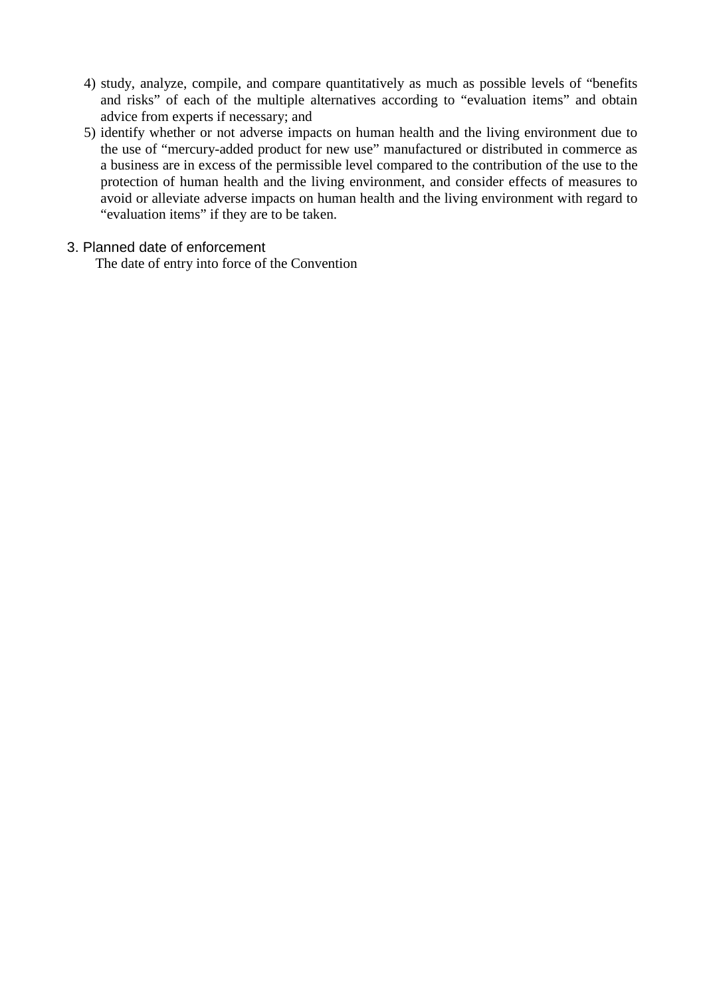- 4) study, analyze, compile, and compare quantitatively as much as possible levels of "benefits and risks" of each of the multiple alternatives according to "evaluation items" and obtain advice from experts if necessary; and
- 5) identify whether or not adverse impacts on human health and the living environment due to the use of "mercury-added product for new use" manufactured or distributed in commerce as a business are in excess of the permissible level compared to the contribution of the use to the protection of human health and the living environment, and consider effects of measures to avoid or alleviate adverse impacts on human health and the living environment with regard to "evaluation items" if they are to be taken.

### 3. Planned date of enforcement

The date of entry into force of the Convention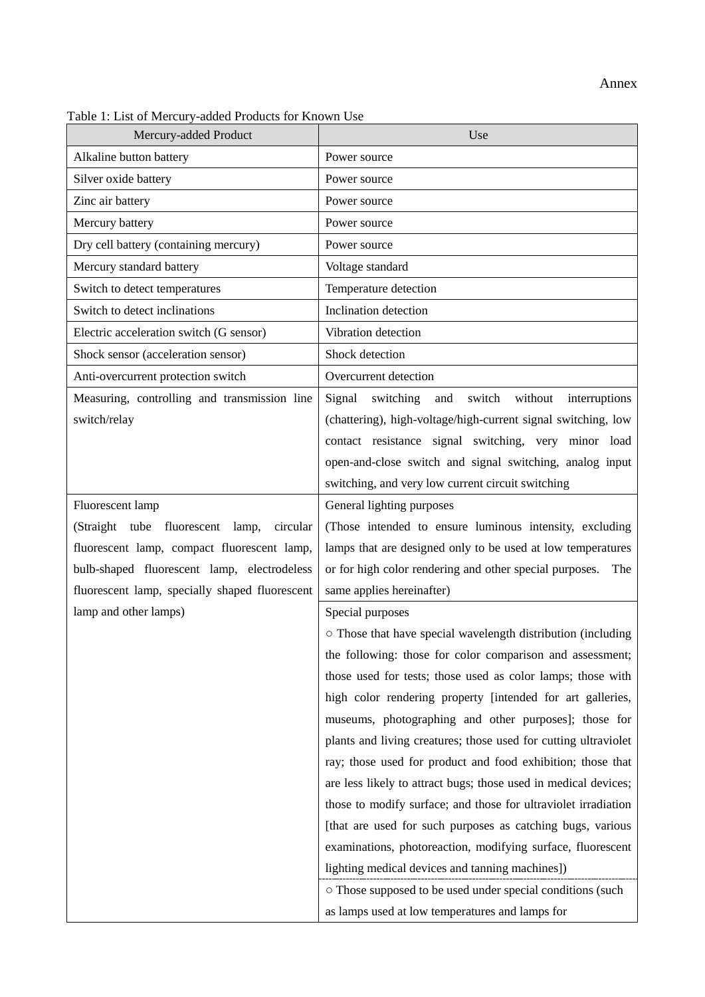#### Annex

| Mercury-added Product                          | Use                                                             |
|------------------------------------------------|-----------------------------------------------------------------|
| Alkaline button battery                        | Power source                                                    |
| Silver oxide battery                           | Power source                                                    |
| Zinc air battery                               | Power source                                                    |
| Mercury battery                                | Power source                                                    |
| Dry cell battery (containing mercury)          | Power source                                                    |
| Mercury standard battery                       | Voltage standard                                                |
| Switch to detect temperatures                  | Temperature detection                                           |
| Switch to detect inclinations                  | Inclination detection                                           |
| Electric acceleration switch (G sensor)        | Vibration detection                                             |
| Shock sensor (acceleration sensor)             | Shock detection                                                 |
| Anti-overcurrent protection switch             | Overcurrent detection                                           |
| Measuring, controlling and transmission line   | Signal<br>switching and switch<br>without<br>interruptions      |
| switch/relay                                   | (chattering), high-voltage/high-current signal switching, low   |
|                                                | contact resistance signal switching, very minor load            |
|                                                | open-and-close switch and signal switching, analog input        |
|                                                | switching, and very low current circuit switching               |
| Fluorescent lamp                               | General lighting purposes                                       |
| tube fluorescent lamp, circular<br>(Straight)  | (Those intended to ensure luminous intensity, excluding         |
| fluorescent lamp, compact fluorescent lamp,    | lamps that are designed only to be used at low temperatures     |
| bulb-shaped fluorescent lamp, electrodeless    | or for high color rendering and other special purposes.<br>The  |
| fluorescent lamp, specially shaped fluorescent | same applies hereinafter)                                       |
| lamp and other lamps)                          | Special purposes                                                |
|                                                | o Those that have special wavelength distribution (including    |
|                                                | the following: those for color comparison and assessment;       |
|                                                | those used for tests; those used as color lamps; those with     |
|                                                | high color rendering property [intended for art galleries,      |
|                                                | museums, photographing and other purposes]; those for           |
|                                                | plants and living creatures; those used for cutting ultraviolet |
|                                                | ray; those used for product and food exhibition; those that     |
|                                                | are less likely to attract bugs; those used in medical devices; |
|                                                | those to modify surface; and those for ultraviolet irradiation  |
|                                                | [that are used for such purposes as catching bugs, various      |
|                                                | examinations, photoreaction, modifying surface, fluorescent     |
|                                                | lighting medical devices and tanning machines])                 |
|                                                | o Those supposed to be used under special conditions (such      |
|                                                | as lamps used at low temperatures and lamps for                 |

Table 1: List of Mercury-added Products for Known Use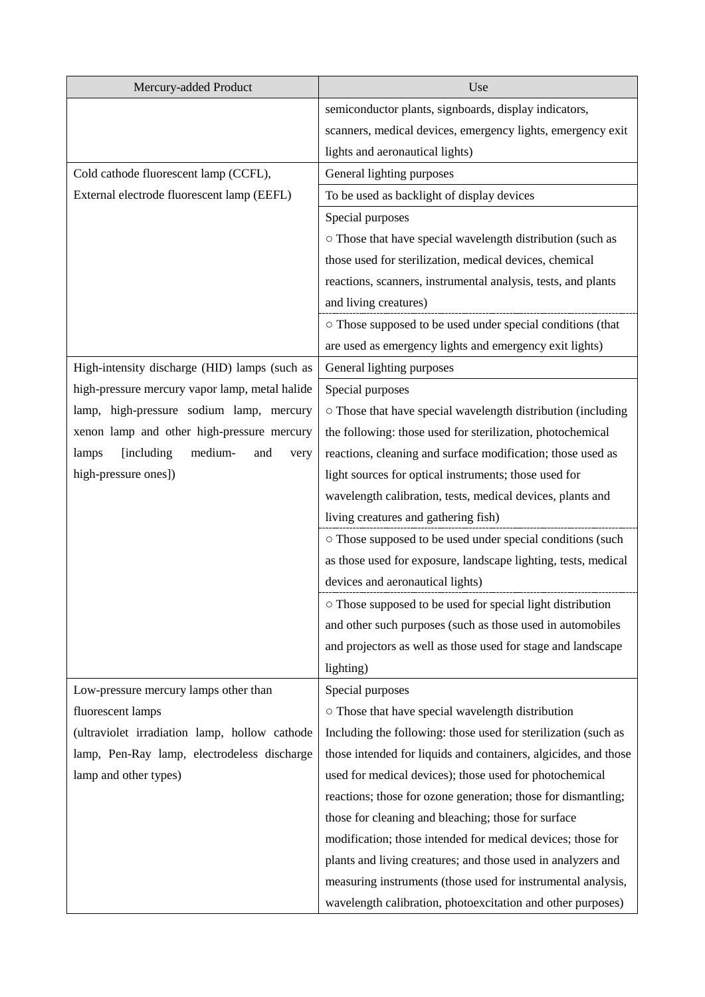| Mercury-added Product                          | Use                                                             |
|------------------------------------------------|-----------------------------------------------------------------|
|                                                | semiconductor plants, signboards, display indicators,           |
|                                                | scanners, medical devices, emergency lights, emergency exit     |
|                                                | lights and aeronautical lights)                                 |
| Cold cathode fluorescent lamp (CCFL),          | General lighting purposes                                       |
| External electrode fluorescent lamp (EEFL)     | To be used as backlight of display devices                      |
|                                                | Special purposes                                                |
|                                                | o Those that have special wavelength distribution (such as      |
|                                                | those used for sterilization, medical devices, chemical         |
|                                                | reactions, scanners, instrumental analysis, tests, and plants   |
|                                                | and living creatures)                                           |
|                                                | o Those supposed to be used under special conditions (that      |
|                                                | are used as emergency lights and emergency exit lights)         |
| High-intensity discharge (HID) lamps (such as  | General lighting purposes                                       |
| high-pressure mercury vapor lamp, metal halide | Special purposes                                                |
| lamp, high-pressure sodium lamp, mercury       | o Those that have special wavelength distribution (including    |
| xenon lamp and other high-pressure mercury     | the following: those used for sterilization, photochemical      |
| [including]<br>medium-<br>lamps<br>and<br>very | reactions, cleaning and surface modification; those used as     |
| high-pressure ones])                           | light sources for optical instruments; those used for           |
|                                                | wavelength calibration, tests, medical devices, plants and      |
|                                                | living creatures and gathering fish)                            |
|                                                | o Those supposed to be used under special conditions (such      |
|                                                | as those used for exposure, landscape lighting, tests, medical  |
|                                                | devices and aeronautical lights)                                |
|                                                | o Those supposed to be used for special light distribution      |
|                                                | and other such purposes (such as those used in automobiles      |
|                                                | and projectors as well as those used for stage and landscape    |
|                                                | lighting)                                                       |
| Low-pressure mercury lamps other than          | Special purposes                                                |
| fluorescent lamps                              | o Those that have special wavelength distribution               |
| (ultraviolet irradiation lamp, hollow cathode  | Including the following: those used for sterilization (such as  |
| lamp, Pen-Ray lamp, electrodeless discharge    | those intended for liquids and containers, algicides, and those |
| lamp and other types)                          | used for medical devices); those used for photochemical         |
|                                                | reactions; those for ozone generation; those for dismantling;   |
|                                                | those for cleaning and bleaching; those for surface             |
|                                                | modification; those intended for medical devices; those for     |
|                                                | plants and living creatures; and those used in analyzers and    |
|                                                | measuring instruments (those used for instrumental analysis,    |
|                                                | wavelength calibration, photoexcitation and other purposes)     |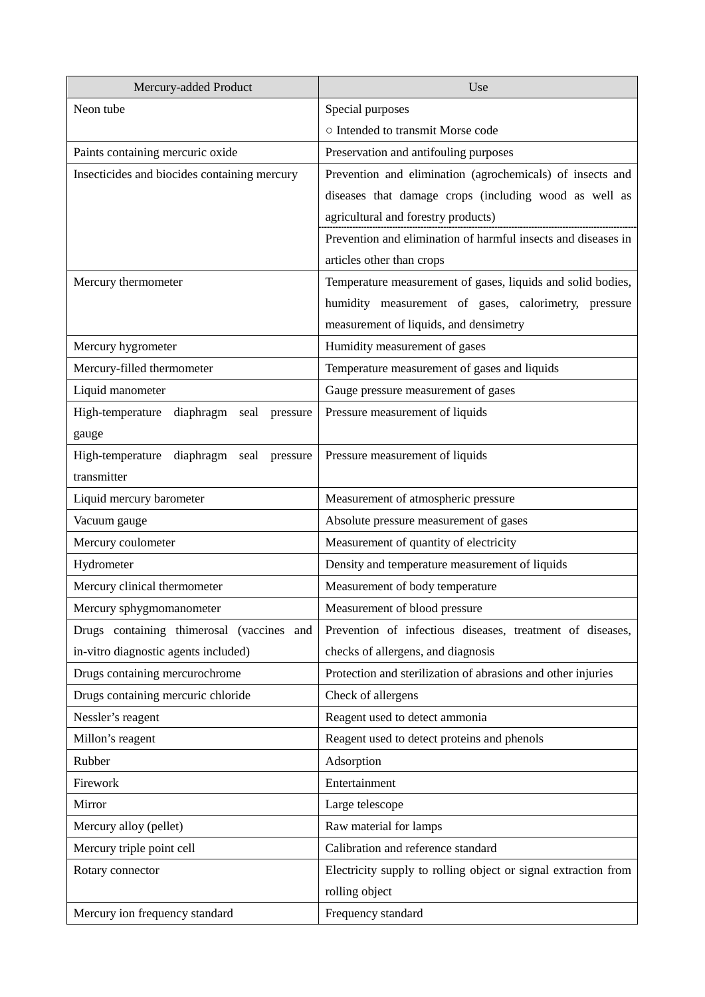| Mercury-added Product                          | Use                                                            |
|------------------------------------------------|----------------------------------------------------------------|
| Neon tube                                      | Special purposes                                               |
|                                                | o Intended to transmit Morse code                              |
| Paints containing mercuric oxide               | Preservation and antifouling purposes                          |
| Insecticides and biocides containing mercury   | Prevention and elimination (agrochemicals) of insects and      |
|                                                | diseases that damage crops (including wood as well as          |
|                                                | agricultural and forestry products)                            |
|                                                | Prevention and elimination of harmful insects and diseases in  |
|                                                | articles other than crops                                      |
| Mercury thermometer                            | Temperature measurement of gases, liquids and solid bodies,    |
|                                                | humidity measurement of gases, calorimetry, pressure           |
|                                                | measurement of liquids, and densimetry                         |
| Mercury hygrometer                             | Humidity measurement of gases                                  |
| Mercury-filled thermometer                     | Temperature measurement of gases and liquids                   |
| Liquid manometer                               | Gauge pressure measurement of gases                            |
| High-temperature<br>diaphragm seal<br>pressure | Pressure measurement of liquids                                |
| gauge                                          |                                                                |
| High-temperature diaphragm seal pressure       | Pressure measurement of liquids                                |
| transmitter                                    |                                                                |
| Liquid mercury barometer                       | Measurement of atmospheric pressure                            |
| Vacuum gauge                                   | Absolute pressure measurement of gases                         |
| Mercury coulometer                             | Measurement of quantity of electricity                         |
| Hydrometer                                     | Density and temperature measurement of liquids                 |
| Mercury clinical thermometer                   | Measurement of body temperature                                |
| Mercury sphygmomanometer                       | Measurement of blood pressure                                  |
| Drugs containing thimerosal (vaccines and      | Prevention of infectious diseases, treatment of diseases,      |
| in-vitro diagnostic agents included)           | checks of allergens, and diagnosis                             |
| Drugs containing mercurochrome                 | Protection and sterilization of abrasions and other injuries   |
| Drugs containing mercuric chloride             | Check of allergens                                             |
| Nessler's reagent                              | Reagent used to detect ammonia                                 |
| Millon's reagent                               | Reagent used to detect proteins and phenols                    |
| Rubber                                         | Adsorption                                                     |
| Firework                                       | Entertainment                                                  |
| Mirror                                         | Large telescope                                                |
| Mercury alloy (pellet)                         | Raw material for lamps                                         |
| Mercury triple point cell                      | Calibration and reference standard                             |
| Rotary connector                               | Electricity supply to rolling object or signal extraction from |
|                                                | rolling object                                                 |
| Mercury ion frequency standard                 | Frequency standard                                             |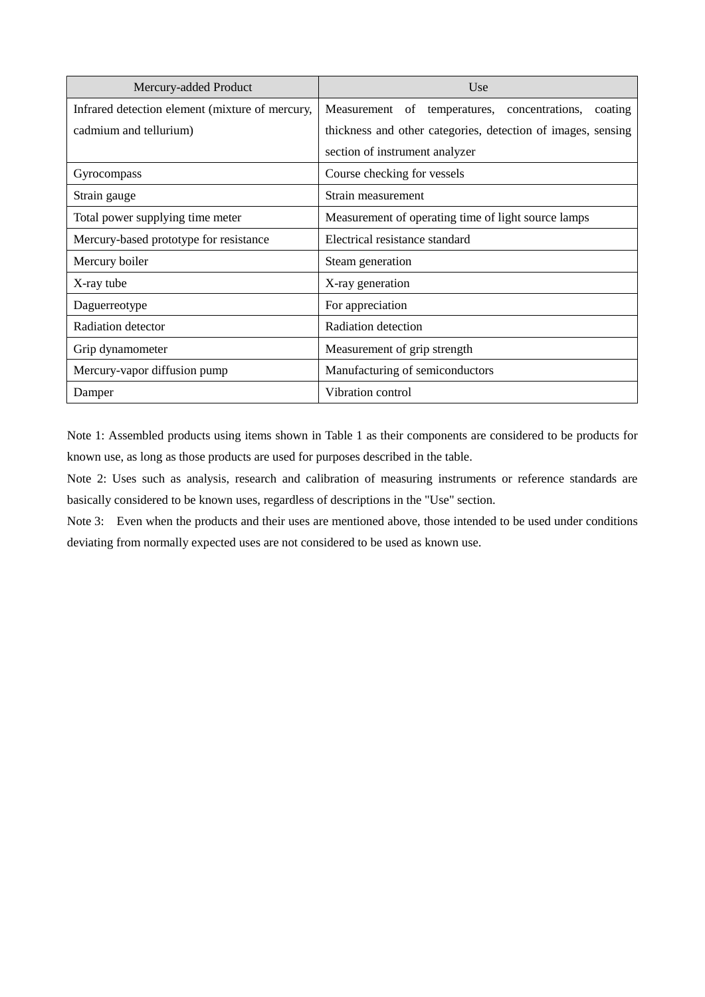| Mercury-added Product                           | Use                                                          |
|-------------------------------------------------|--------------------------------------------------------------|
| Infrared detection element (mixture of mercury, | Measurement of temperatures, concentrations,<br>coating      |
| cadmium and tellurium)                          | thickness and other categories, detection of images, sensing |
|                                                 | section of instrument analyzer                               |
| Gyrocompass                                     | Course checking for vessels                                  |
| Strain gauge                                    | Strain measurement                                           |
| Total power supplying time meter                | Measurement of operating time of light source lamps          |
| Mercury-based prototype for resistance          | Electrical resistance standard                               |
| Mercury boiler                                  | Steam generation                                             |
| X-ray tube                                      | X-ray generation                                             |
| Daguerreotype                                   | For appreciation                                             |
| Radiation detector                              | Radiation detection                                          |
| Grip dynamometer                                | Measurement of grip strength                                 |
| Mercury-vapor diffusion pump                    | Manufacturing of semiconductors                              |
| Damper                                          | Vibration control                                            |

Note 1: Assembled products using items shown in Table 1 as their components are considered to be products for known use, as long as those products are used for purposes described in the table.

Note 2: Uses such as analysis, research and calibration of measuring instruments or reference standards are basically considered to be known uses, regardless of descriptions in the "Use" section.

Note 3: Even when the products and their uses are mentioned above, those intended to be used under conditions deviating from normally expected uses are not considered to be used as known use.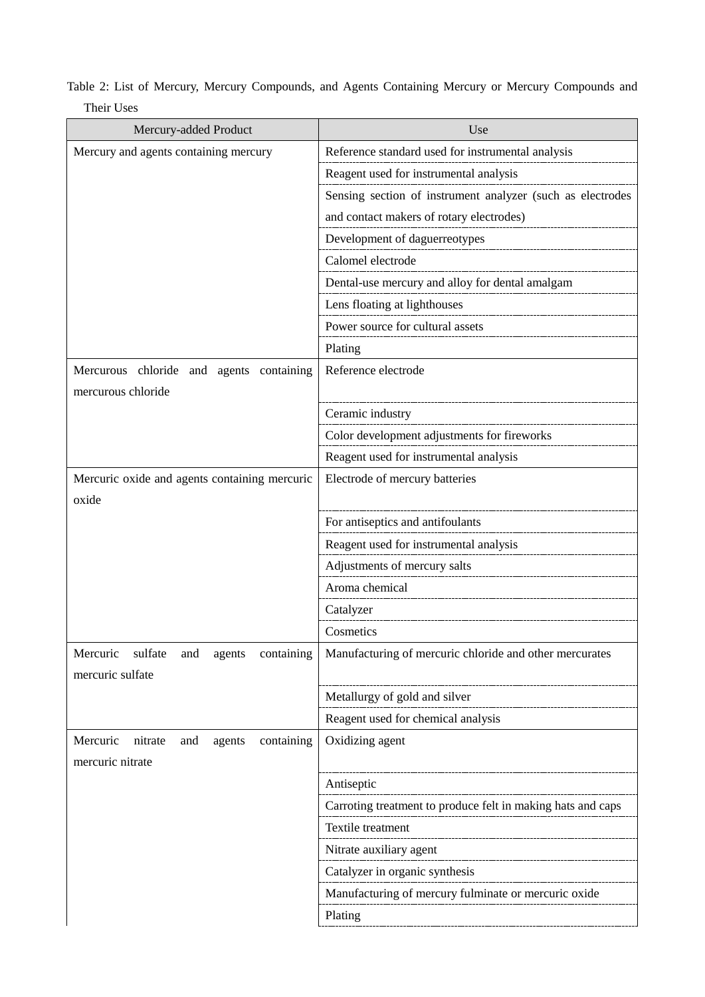| Mercury-added Product                                                  | Use                                                         |
|------------------------------------------------------------------------|-------------------------------------------------------------|
| Mercury and agents containing mercury                                  | Reference standard used for instrumental analysis           |
|                                                                        | Reagent used for instrumental analysis                      |
|                                                                        | Sensing section of instrument analyzer (such as electrodes  |
|                                                                        | and contact makers of rotary electrodes)                    |
|                                                                        | Development of daguerreotypes                               |
|                                                                        | Calomel electrode                                           |
|                                                                        | Dental-use mercury and alloy for dental amalgam             |
|                                                                        | Lens floating at lighthouses                                |
|                                                                        | Power source for cultural assets                            |
|                                                                        | Plating                                                     |
| Mercurous chloride and agents containing                               | Reference electrode                                         |
| mercurous chloride                                                     |                                                             |
|                                                                        | Ceramic industry                                            |
|                                                                        | Color development adjustments for fireworks                 |
|                                                                        | Reagent used for instrumental analysis                      |
| Mercuric oxide and agents containing mercuric                          | Electrode of mercury batteries                              |
| oxide                                                                  |                                                             |
|                                                                        | For antiseptics and antifoulants                            |
|                                                                        | Reagent used for instrumental analysis                      |
|                                                                        | Adjustments of mercury salts                                |
|                                                                        | Aroma chemical                                              |
|                                                                        | Catalyzer                                                   |
|                                                                        | Cosmetics                                                   |
| Mercuric<br>sulfate<br>containing<br>and<br>agents<br>mercuric sulfate | Manufacturing of mercuric chloride and other mercurates     |
|                                                                        | Metallurgy of gold and silver                               |
|                                                                        | Reagent used for chemical analysis                          |
| Mercuric<br>containing<br>nitrate<br>and<br>agents                     | Oxidizing agent                                             |
| mercuric nitrate                                                       |                                                             |
|                                                                        | Antiseptic                                                  |
|                                                                        | Carroting treatment to produce felt in making hats and caps |
|                                                                        | Textile treatment                                           |
|                                                                        | Nitrate auxiliary agent                                     |
|                                                                        | Catalyzer in organic synthesis                              |
|                                                                        | Manufacturing of mercury fulminate or mercuric oxide        |
|                                                                        | Plating                                                     |

Table 2: List of Mercury, Mercury Compounds, and Agents Containing Mercury or Mercury Compounds and Their Uses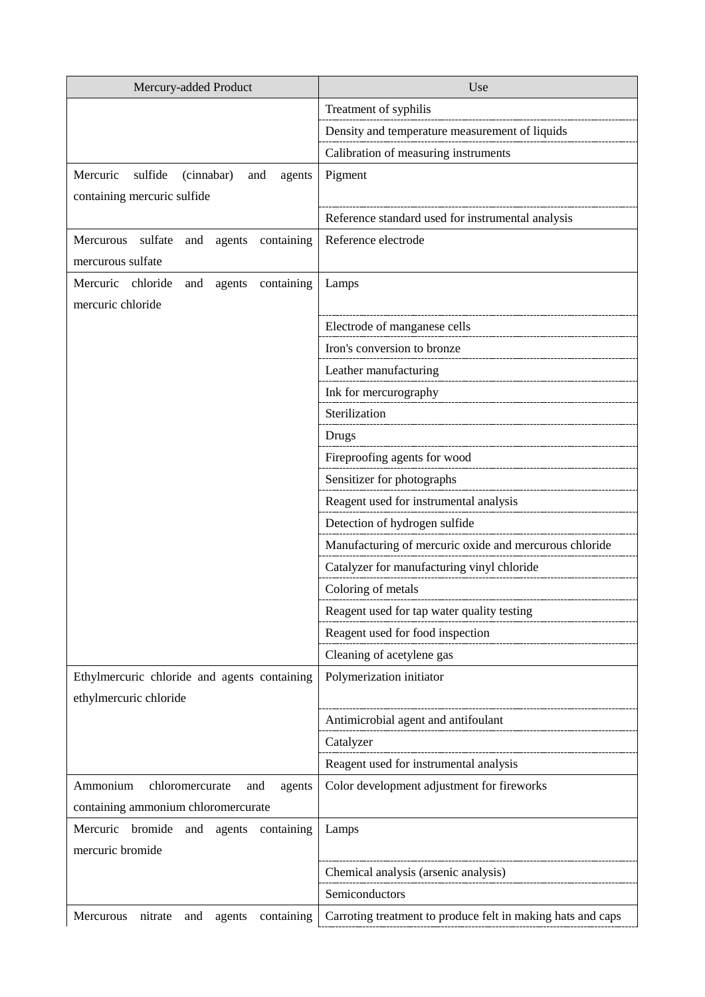| Mercury-added Product                               | Use                                                         |
|-----------------------------------------------------|-------------------------------------------------------------|
|                                                     | Treatment of syphilis                                       |
|                                                     | Density and temperature measurement of liquids              |
|                                                     | Calibration of measuring instruments                        |
| Mercuric<br>sulfide<br>(cinnabar)<br>and<br>agents  | Pigment                                                     |
| containing mercuric sulfide                         |                                                             |
|                                                     | Reference standard used for instrumental analysis           |
| containing<br>Mercurous<br>sulfate<br>and<br>agents | Reference electrode                                         |
| mercurous sulfate                                   |                                                             |
| Mercuric<br>chloride<br>containing<br>and<br>agents | Lamps                                                       |
| mercuric chloride                                   |                                                             |
|                                                     | Electrode of manganese cells                                |
|                                                     | Iron's conversion to bronze                                 |
|                                                     | Leather manufacturing                                       |
|                                                     | Ink for mercurography                                       |
|                                                     | Sterilization                                               |
|                                                     | Drugs                                                       |
|                                                     | Fireproofing agents for wood                                |
|                                                     | Sensitizer for photographs                                  |
|                                                     | Reagent used for instrumental analysis                      |
|                                                     | Detection of hydrogen sulfide                               |
|                                                     | Manufacturing of mercuric oxide and mercurous chloride      |
|                                                     | Catalyzer for manufacturing vinyl chloride                  |
|                                                     | Coloring of metals                                          |
|                                                     | Reagent used for tap water quality testing                  |
|                                                     | Reagent used for food inspection                            |
|                                                     | Cleaning of acetylene gas                                   |
| Ethylmercuric chloride and agents containing        | Polymerization initiator                                    |
| ethylmercuric chloride                              |                                                             |
|                                                     | Antimicrobial agent and antifoulant                         |
|                                                     | Catalyzer                                                   |
|                                                     | Reagent used for instrumental analysis                      |
| Ammonium<br>chloromercurate<br>and<br>agents        | Color development adjustment for fireworks                  |
| containing ammonium chloromercurate                 |                                                             |
| Mercuric<br>bromide<br>and<br>agents<br>containing  | Lamps                                                       |
| mercuric bromide                                    |                                                             |
|                                                     | Chemical analysis (arsenic analysis)                        |
|                                                     | Semiconductors                                              |
| containing<br>Mercurous<br>nitrate<br>and<br>agents | Carroting treatment to produce felt in making hats and caps |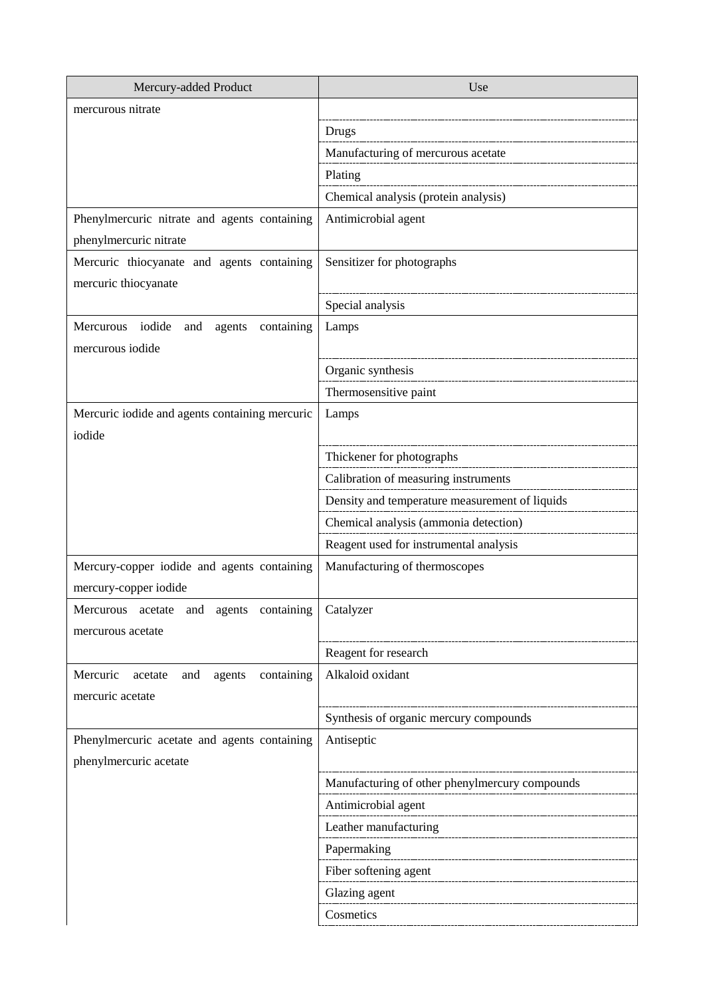| Mercury-added Product                              | Use                                            |
|----------------------------------------------------|------------------------------------------------|
| mercurous nitrate                                  |                                                |
|                                                    | <b>Drugs</b>                                   |
|                                                    | Manufacturing of mercurous acetate             |
|                                                    | Plating                                        |
|                                                    | Chemical analysis (protein analysis)           |
| Phenylmercuric nitrate and agents containing       | Antimicrobial agent                            |
| phenylmercuric nitrate                             |                                                |
| Mercuric thiocyanate and agents containing         | Sensitizer for photographs                     |
| mercuric thiocyanate                               |                                                |
|                                                    | Special analysis                               |
| Mercurous iodide<br>containing<br>and<br>agents    | Lamps                                          |
| mercurous iodide                                   |                                                |
|                                                    | Organic synthesis                              |
|                                                    | Thermosensitive paint                          |
| Mercuric iodide and agents containing mercuric     | Lamps                                          |
| iodide                                             |                                                |
|                                                    | Thickener for photographs                      |
|                                                    | Calibration of measuring instruments           |
|                                                    | Density and temperature measurement of liquids |
|                                                    | Chemical analysis (ammonia detection)          |
|                                                    | Reagent used for instrumental analysis         |
| Mercury-copper iodide and agents containing        | Manufacturing of thermoscopes                  |
| mercury-copper iodide                              |                                                |
| Mercurous<br>acetate<br>and agents containing      | Catalyzer                                      |
| mercurous acetate                                  |                                                |
|                                                    | Reagent for research                           |
| Mercuric<br>containing<br>agents<br>acetate<br>and | Alkaloid oxidant                               |
| mercuric acetate                                   |                                                |
|                                                    | Synthesis of organic mercury compounds         |
| Phenylmercuric acetate and agents containing       | Antiseptic                                     |
| phenylmercuric acetate                             |                                                |
|                                                    | Manufacturing of other phenylmercury compounds |
|                                                    | Antimicrobial agent                            |
|                                                    | Leather manufacturing                          |
|                                                    | Papermaking                                    |
|                                                    | Fiber softening agent                          |
|                                                    | Glazing agent                                  |
|                                                    | Cosmetics                                      |
|                                                    |                                                |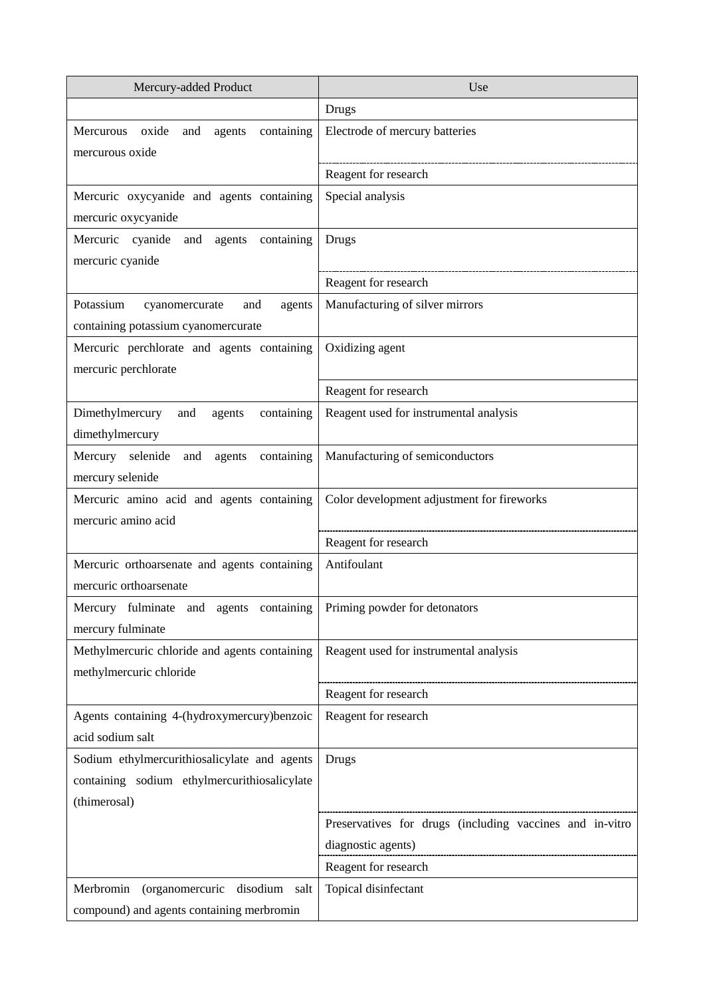| Mercury-added Product                                                               | Use                                                      |
|-------------------------------------------------------------------------------------|----------------------------------------------------------|
|                                                                                     | <b>Drugs</b>                                             |
| containing<br>Mercurous<br>oxide<br>agents<br>and<br>mercurous oxide                | Electrode of mercury batteries                           |
|                                                                                     | Reagent for research                                     |
| Mercuric oxycyanide and agents containing                                           | Special analysis                                         |
| mercuric oxycyanide                                                                 |                                                          |
| Mercuric cyanide and agents<br>containing                                           | <b>Drugs</b>                                             |
| mercuric cyanide                                                                    |                                                          |
|                                                                                     | Reagent for research                                     |
| Potassium<br>cyanomercurate<br>and<br>agents<br>containing potassium cyanomercurate | Manufacturing of silver mirrors                          |
| Mercuric perchlorate and agents containing                                          | Oxidizing agent                                          |
| mercuric perchlorate                                                                |                                                          |
|                                                                                     | Reagent for research                                     |
| Dimethylmercury<br>containing<br>and<br>agents                                      | Reagent used for instrumental analysis                   |
| dimethylmercury                                                                     |                                                          |
| Mercury selenide and agents containing                                              | Manufacturing of semiconductors                          |
| mercury selenide                                                                    |                                                          |
| Mercuric amino acid and agents containing<br>mercuric amino acid                    | Color development adjustment for fireworks               |
|                                                                                     | Reagent for research                                     |
| Mercuric orthoarsenate and agents containing                                        | Antifoulant                                              |
| mercuric orthoarsenate                                                              |                                                          |
| Mercury fulminate and agents containing Priming powder for detonators               |                                                          |
| mercury fulminate                                                                   |                                                          |
| Methylmercuric chloride and agents containing<br>methylmercuric chloride            | Reagent used for instrumental analysis                   |
|                                                                                     | Reagent for research                                     |
| Agents containing 4-(hydroxymercury)benzoic                                         | Reagent for research                                     |
| acid sodium salt                                                                    |                                                          |
| Sodium ethylmercurithiosalicylate and agents                                        | <b>Drugs</b>                                             |
| containing sodium ethylmercurithiosalicylate                                        |                                                          |
| (thimerosal)                                                                        |                                                          |
|                                                                                     | Preservatives for drugs (including vaccines and in-vitro |
|                                                                                     | diagnostic agents)                                       |
|                                                                                     | Reagent for research                                     |
| (organomercuric<br>Merbromin<br>disodium salt                                       | Topical disinfectant                                     |
| compound) and agents containing merbromin                                           |                                                          |